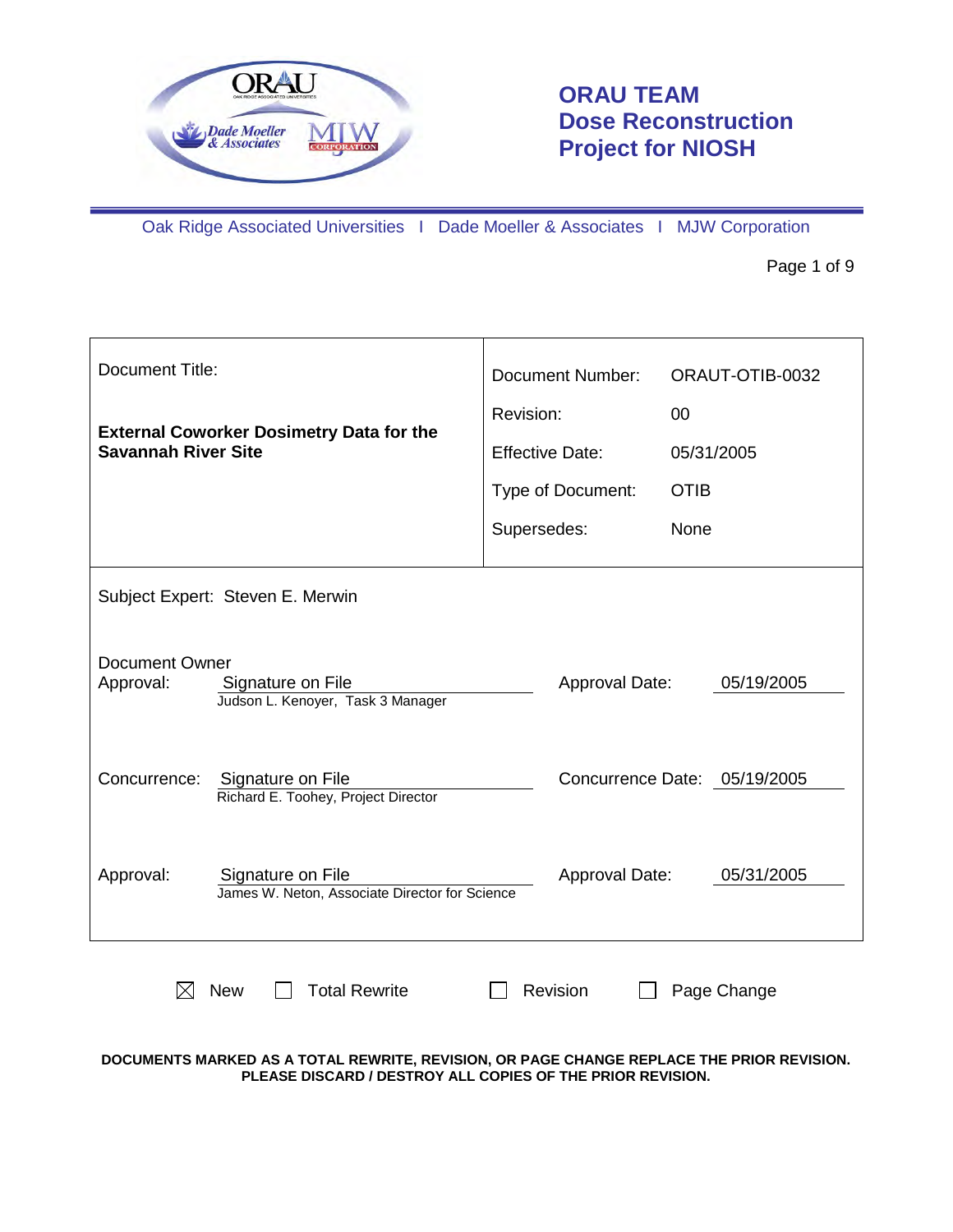

# **ORAU TEAM Dose Reconstruction Project for NIOSH**

Oak Ridge Associated Universities I Dade Moeller & Associates I MJW Corporation

Page 1 of 9

| Document Title:                    |                                                                     | <b>Document Number:</b> | ORAUT-OTIB-0032              |
|------------------------------------|---------------------------------------------------------------------|-------------------------|------------------------------|
|                                    | <b>External Coworker Dosimetry Data for the</b>                     | Revision:               | 00                           |
| <b>Savannah River Site</b>         |                                                                     | <b>Effective Date:</b>  | 05/31/2005                   |
|                                    |                                                                     | Type of Document:       | <b>OTIB</b>                  |
|                                    |                                                                     | Supersedes:             | None                         |
|                                    | Subject Expert: Steven E. Merwin                                    |                         |                              |
| <b>Document Owner</b><br>Approval: | Signature on File<br>Judson L. Kenoyer, Task 3 Manager              | Approval Date:          | 05/19/2005                   |
| Concurrence:                       | Signature on File<br>Richard E. Toohey, Project Director            |                         | Concurrence Date: 05/19/2005 |
| Approval:                          | Signature on File<br>James W. Neton, Associate Director for Science | Approval Date:          | 05/31/2005                   |
|                                    | <b>Total Rewrite</b><br><b>New</b>                                  | Revision                | Page Change                  |

**DOCUMENTS MARKED AS A TOTAL REWRITE, REVISION, OR PAGE CHANGE REPLACE THE PRIOR REVISION. PLEASE DISCARD / DESTROY ALL COPIES OF THE PRIOR REVISION.**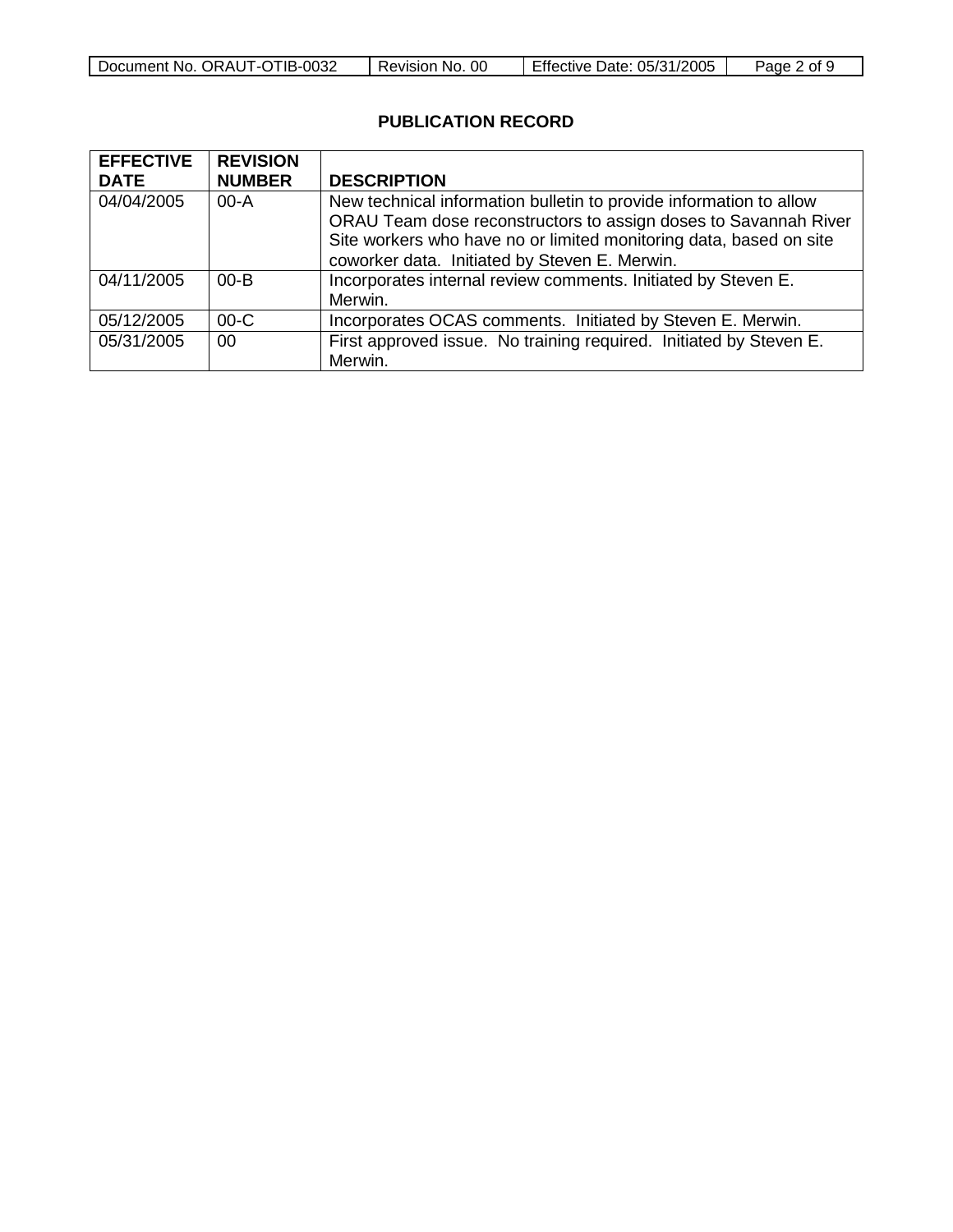| Document No. ORAUT-OTIB-0032 | 00<br>Revision No. | Effective Date: 05/31/2005 | 2 of<br>Page z |
|------------------------------|--------------------|----------------------------|----------------|

## **PUBLICATION RECORD**

| <b>EFFECTIVE</b> | <b>REVISION</b> |                                                                    |
|------------------|-----------------|--------------------------------------------------------------------|
| <b>DATE</b>      | <b>NUMBER</b>   | <b>DESCRIPTION</b>                                                 |
| 04/04/2005       | $00 - A$        | New technical information bulletin to provide information to allow |
|                  |                 | ORAU Team dose reconstructors to assign doses to Savannah River    |
|                  |                 | Site workers who have no or limited monitoring data, based on site |
|                  |                 | coworker data. Initiated by Steven E. Merwin.                      |
| 04/11/2005       | $00 - B$        | Incorporates internal review comments. Initiated by Steven E.      |
|                  |                 | Merwin.                                                            |
| 05/12/2005       | $00-C$          | Incorporates OCAS comments. Initiated by Steven E. Merwin.         |
| 05/31/2005       | 00              | First approved issue. No training required. Initiated by Steven E. |
|                  |                 | Merwin.                                                            |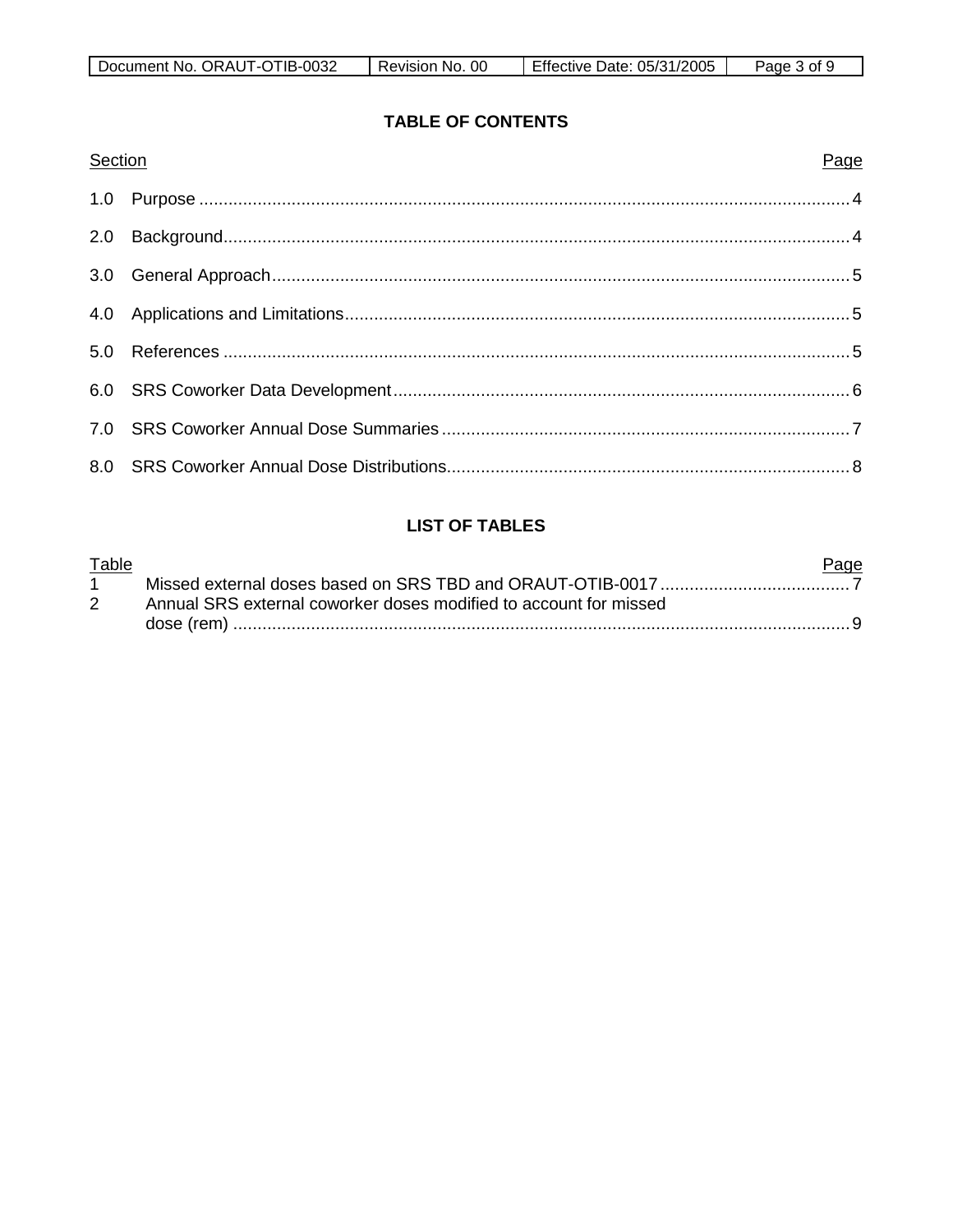| $-0032$<br>"IR-.<br>ORAUT-OT<br>Document<br>`No.<br>- I L | 00<br>No.<br>≺evision | 1/2005<br>05/31<br>Effective Date: | Ωt<br>Page |
|-----------------------------------------------------------|-----------------------|------------------------------------|------------|

## **TABLE OF CONTENTS**

| Section | Page |
|---------|------|
|         |      |
|         |      |
|         |      |
|         |      |
|         |      |
|         |      |
|         |      |
|         |      |

## **LIST OF TABLES**

| Table |                                                                   | <u>Page</u> |
|-------|-------------------------------------------------------------------|-------------|
|       |                                                                   |             |
| 2     | Annual SRS external coworker doses modified to account for missed |             |
|       |                                                                   |             |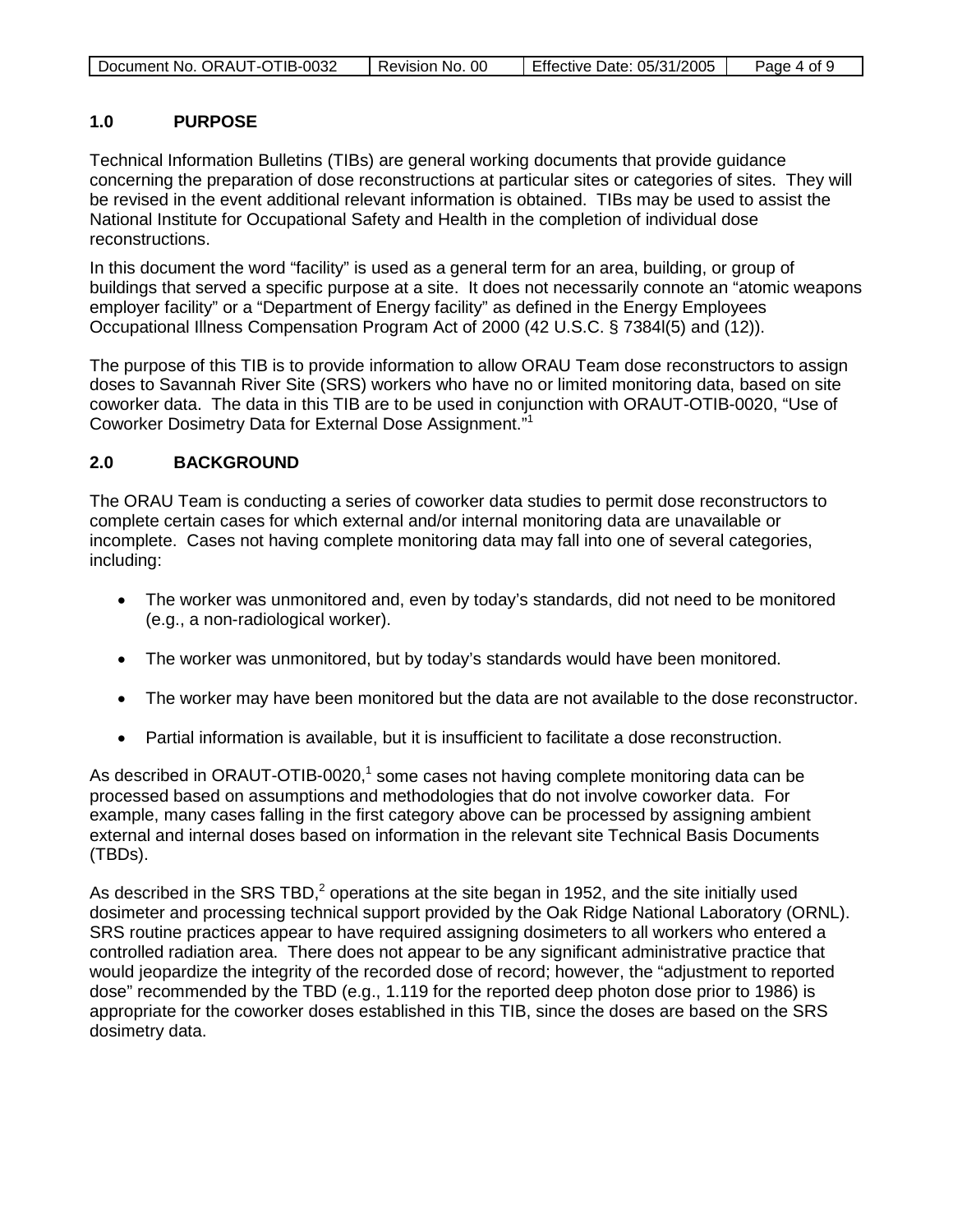|  | Document No. ORAUT-OTIB-0032 | Revision No. 00 | Effective Date: 05/31/2005 | Page 4 of 9 |
|--|------------------------------|-----------------|----------------------------|-------------|
|--|------------------------------|-----------------|----------------------------|-------------|

### **1.0 PURPOSE**

Technical Information Bulletins (TIBs) are general working documents that provide guidance concerning the preparation of dose reconstructions at particular sites or categories of sites. They will be revised in the event additional relevant information is obtained. TIBs may be used to assist the National Institute for Occupational Safety and Health in the completion of individual dose reconstructions.

In this document the word "facility" is used as a general term for an area, building, or group of buildings that served a specific purpose at a site. It does not necessarily connote an "atomic weapons employer facility" or a "Department of Energy facility" as defined in the Energy Employees Occupational Illness Compensation Program Act of 2000 (42 U.S.C. § 7384l(5) and (12)).

The purpose of this TIB is to provide information to allow ORAU Team dose reconstructors to assign doses to Savannah River Site (SRS) workers who have no or limited monitoring data, based on site coworker data. The data in this TIB are to be used in conjunction with ORAUT-OTIB-0020, "Use of Coworker Dosimetry Data for External Dose Assignment."<sup>1</sup>

### **2.0 BACKGROUND**

The ORAU Team is conducting a series of coworker data studies to permit dose reconstructors to complete certain cases for which external and/or internal monitoring data are unavailable or incomplete. Cases not having complete monitoring data may fall into one of several categories, including:

- The worker was unmonitored and, even by today's standards, did not need to be monitored (e.g., a non-radiological worker).
- The worker was unmonitored, but by today's standards would have been monitored.
- The worker may have been monitored but the data are not available to the dose reconstructor.
- Partial information is available, but it is insufficient to facilitate a dose reconstruction.

As described in ORAUT-OTIB-0020,<sup>1</sup> some cases not having complete monitoring data can be processed based on assumptions and methodologies that do not involve coworker data. For example, many cases falling in the first category above can be processed by assigning ambient external and internal doses based on information in the relevant site Technical Basis Documents (TBDs).

As described in the SRS TBD,<sup>2</sup> operations at the site began in 1952, and the site initially used dosimeter and processing technical support provided by the Oak Ridge National Laboratory (ORNL). SRS routine practices appear to have required assigning dosimeters to all workers who entered a controlled radiation area. There does not appear to be any significant administrative practice that would jeopardize the integrity of the recorded dose of record; however, the "adjustment to reported dose" recommended by the TBD (e.g., 1.119 for the reported deep photon dose prior to 1986) is appropriate for the coworker doses established in this TIB, since the doses are based on the SRS dosimetry data.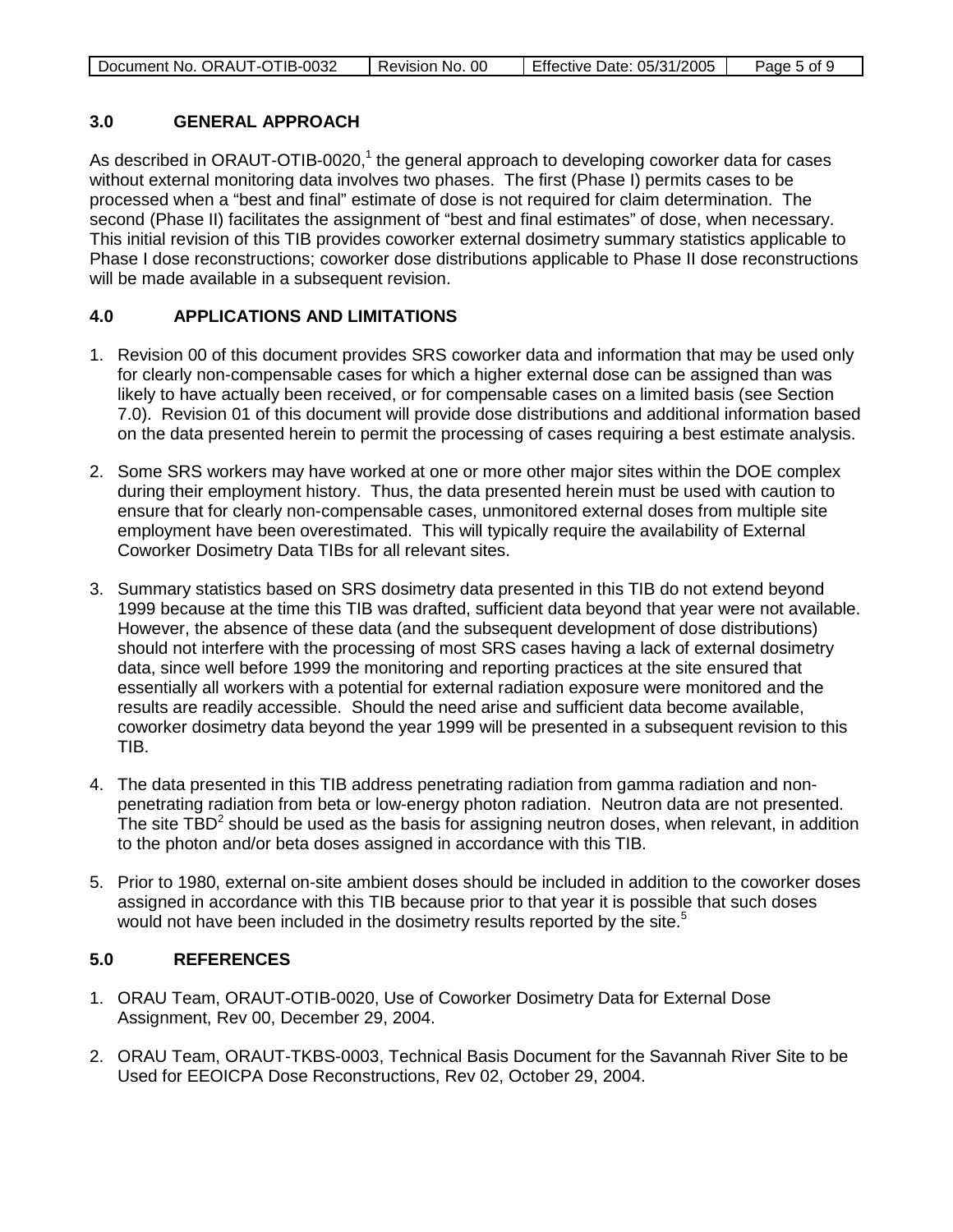| Document No. ORAUT-OTIB-0032 | Revision No. 00 | Effective Date: 05/31/2005 | Page 5 of 9 |
|------------------------------|-----------------|----------------------------|-------------|
|                              |                 |                            |             |

#### **3.0 GENERAL APPROACH**

As described in ORAUT-OTIB-0020, $1$  the general approach to developing coworker data for cases without external monitoring data involves two phases. The first (Phase I) permits cases to be processed when a "best and final" estimate of dose is not required for claim determination. The second (Phase II) facilitates the assignment of "best and final estimates" of dose, when necessary. This initial revision of this TIB provides coworker external dosimetry summary statistics applicable to Phase I dose reconstructions; coworker dose distributions applicable to Phase II dose reconstructions will be made available in a subsequent revision.

## **4.0 APPLICATIONS AND LIMITATIONS**

- 1. Revision 00 of this document provides SRS coworker data and information that may be used only for clearly non-compensable cases for which a higher external dose can be assigned than was likely to have actually been received, or for compensable cases on a limited basis (see Section 7.0). Revision 01 of this document will provide dose distributions and additional information based on the data presented herein to permit the processing of cases requiring a best estimate analysis.
- 2. Some SRS workers may have worked at one or more other major sites within the DOE complex during their employment history. Thus, the data presented herein must be used with caution to ensure that for clearly non-compensable cases, unmonitored external doses from multiple site employment have been overestimated. This will typically require the availability of External Coworker Dosimetry Data TIBs for all relevant sites.
- 3. Summary statistics based on SRS dosimetry data presented in this TIB do not extend beyond 1999 because at the time this TIB was drafted, sufficient data beyond that year were not available. However, the absence of these data (and the subsequent development of dose distributions) should not interfere with the processing of most SRS cases having a lack of external dosimetry data, since well before 1999 the monitoring and reporting practices at the site ensured that essentially all workers with a potential for external radiation exposure were monitored and the results are readily accessible. Should the need arise and sufficient data become available, coworker dosimetry data beyond the year 1999 will be presented in a subsequent revision to this TIB.
- 4. The data presented in this TIB address penetrating radiation from gamma radiation and nonpenetrating radiation from beta or low-energy photon radiation. Neutron data are not presented. The site TBD<sup>2</sup> should be used as the basis for assigning neutron doses, when relevant, in addition to the photon and/or beta doses assigned in accordance with this TIB.
- 5. Prior to 1980, external on-site ambient doses should be included in addition to the coworker doses assigned in accordance with this TIB because prior to that year it is possible that such doses would not have been included in the dosimetry results reported by the site.<sup>5</sup>

## **5.0 REFERENCES**

- 1. ORAU Team, ORAUT-OTIB-0020, Use of Coworker Dosimetry Data for External Dose Assignment, Rev 00, December 29, 2004.
- 2. ORAU Team, ORAUT-TKBS-0003, Technical Basis Document for the Savannah River Site to be Used for EEOICPA Dose Reconstructions, Rev 02, October 29, 2004.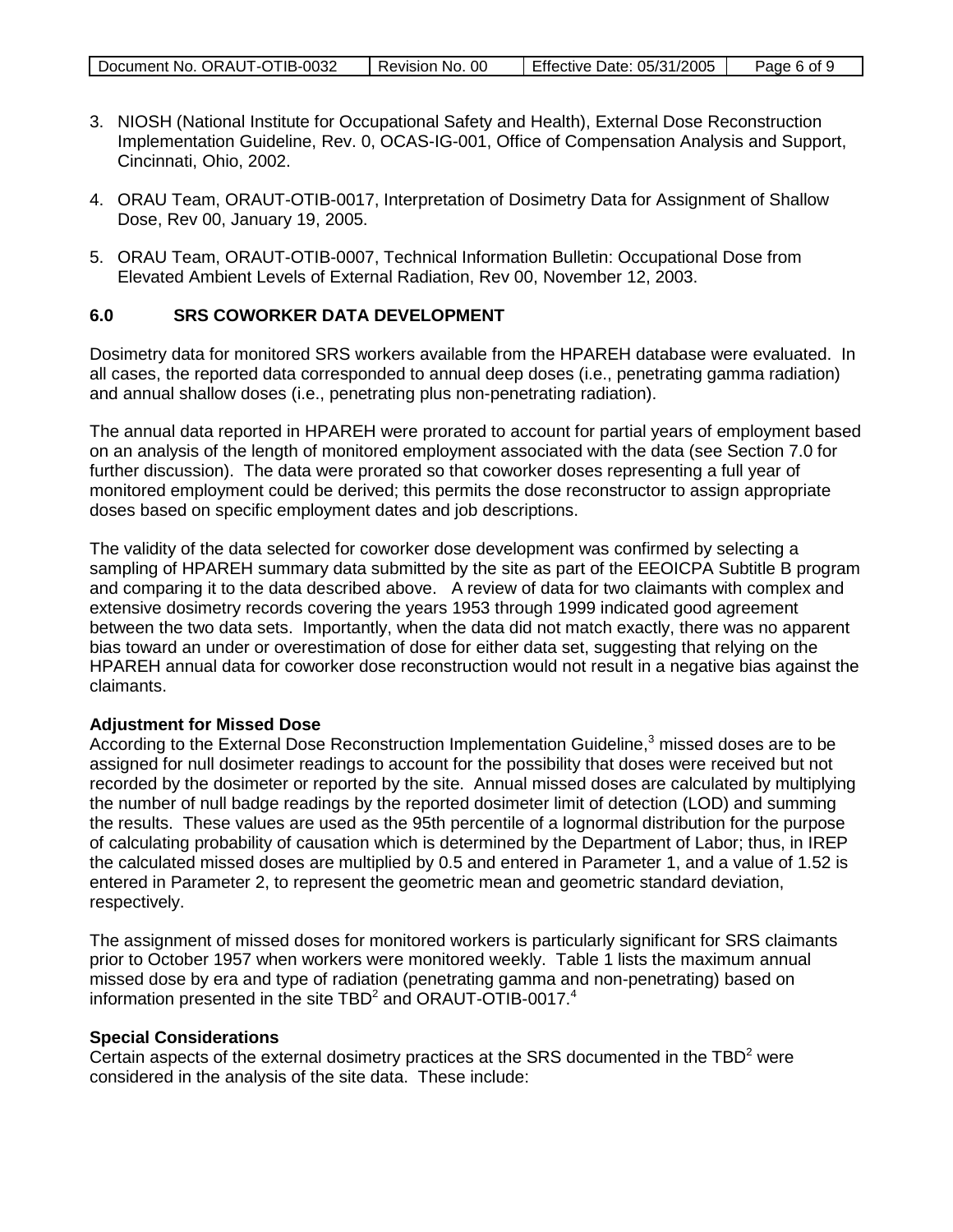| Document No. ORAUT-OTIB-0032 | Revision No. 00 | Effective Date: 05/31/2005 | Page 6 of 9 |
|------------------------------|-----------------|----------------------------|-------------|

- 3. NIOSH (National Institute for Occupational Safety and Health), External Dose Reconstruction Implementation Guideline, Rev. 0, OCAS-IG-001, Office of Compensation Analysis and Support, Cincinnati, Ohio, 2002.
- 4. ORAU Team, ORAUT-OTIB-0017, Interpretation of Dosimetry Data for Assignment of Shallow Dose, Rev 00, January 19, 2005.
- 5. ORAU Team, ORAUT-OTIB-0007, Technical Information Bulletin: Occupational Dose from Elevated Ambient Levels of External Radiation, Rev 00, November 12, 2003.

#### **6.0 SRS COWORKER DATA DEVELOPMENT**

Dosimetry data for monitored SRS workers available from the HPAREH database were evaluated. In all cases, the reported data corresponded to annual deep doses (i.e., penetrating gamma radiation) and annual shallow doses (i.e., penetrating plus non-penetrating radiation).

The annual data reported in HPAREH were prorated to account for partial years of employment based on an analysis of the length of monitored employment associated with the data (see Section 7.0 for further discussion). The data were prorated so that coworker doses representing a full year of monitored employment could be derived; this permits the dose reconstructor to assign appropriate doses based on specific employment dates and job descriptions.

The validity of the data selected for coworker dose development was confirmed by selecting a sampling of HPAREH summary data submitted by the site as part of the EEOICPA Subtitle B program and comparing it to the data described above. A review of data for two claimants with complex and extensive dosimetry records covering the years 1953 through 1999 indicated good agreement between the two data sets. Importantly, when the data did not match exactly, there was no apparent bias toward an under or overestimation of dose for either data set, suggesting that relying on the HPAREH annual data for coworker dose reconstruction would not result in a negative bias against the claimants.

#### **Adjustment for Missed Dose**

According to the External Dose Reconstruction Implementation Guideline,<sup>3</sup> missed doses are to be assigned for null dosimeter readings to account for the possibility that doses were received but not recorded by the dosimeter or reported by the site. Annual missed doses are calculated by multiplying the number of null badge readings by the reported dosimeter limit of detection (LOD) and summing the results. These values are used as the 95th percentile of a lognormal distribution for the purpose of calculating probability of causation which is determined by the Department of Labor; thus, in IREP the calculated missed doses are multiplied by 0.5 and entered in Parameter 1, and a value of 1.52 is entered in Parameter 2, to represent the geometric mean and geometric standard deviation, respectively.

The assignment of missed doses for monitored workers is particularly significant for SRS claimants prior to October 1957 when workers were monitored weekly. Table 1 lists the maximum annual missed dose by era and type of radiation (penetrating gamma and non-penetrating) based on information presented in the site TBD<sup>2</sup> and ORAUT-OTIB-0017.<sup>4</sup>

#### **Special Considerations**

Certain aspects of the external dosimetry practices at the SRS documented in the  $TBD<sup>2</sup>$  were considered in the analysis of the site data. These include: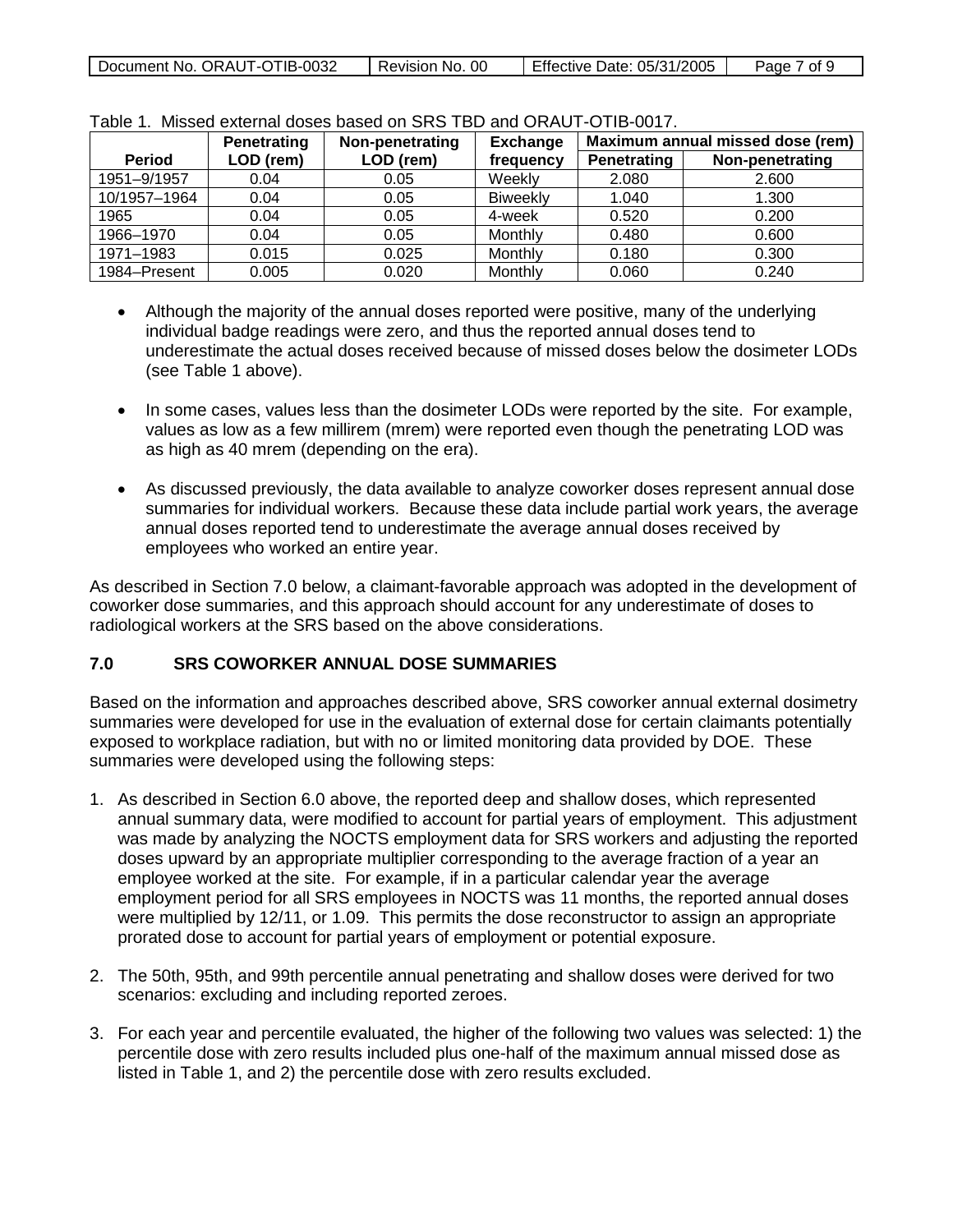| Document No. ORAUT-OTIB-0032 | Revision No. 00 | Effective Date: 05/31/2005 | Page 7 of 9 |
|------------------------------|-----------------|----------------------------|-------------|
|                              |                 |                            |             |

|               | Penetrating | Non-penetrating | <b>Exchange</b> | Maximum annual missed dose (rem) |                 |
|---------------|-------------|-----------------|-----------------|----------------------------------|-----------------|
| <b>Period</b> | LOD (rem)   | LOD (rem)       | frequency       | <b>Penetrating</b>               | Non-penetrating |
| 1951-9/1957   | 0.04        | 0.05            | Weekly          | 2.080                            | 2.600           |
| 10/1957-1964  | 0.04        | 0.05            | <b>Biweekly</b> | 1.040                            | 1.300           |
| 1965          | 0.04        | 0.05            | 4-week          | 0.520                            | 0.200           |
| 1966-1970     | 0.04        | 0.05            | Monthly         | 0.480                            | 0.600           |
| 1971-1983     | 0.015       | 0.025           | Monthly         | 0.180                            | 0.300           |
| 1984–Present  | 0.005       | 0.020           | Monthly         | 0.060                            | 0.240           |

#### Table 1. Missed external doses based on SRS TBD and ORAUT-OTIB-0017.

- Although the majority of the annual doses reported were positive, many of the underlying individual badge readings were zero, and thus the reported annual doses tend to underestimate the actual doses received because of missed doses below the dosimeter LODs (see Table 1 above).
- In some cases, values less than the dosimeter LODs were reported by the site. For example, values as low as a few millirem (mrem) were reported even though the penetrating LOD was as high as 40 mrem (depending on the era).
- As discussed previously, the data available to analyze coworker doses represent annual dose summaries for individual workers. Because these data include partial work years, the average annual doses reported tend to underestimate the average annual doses received by employees who worked an entire year.

As described in Section 7.0 below, a claimant-favorable approach was adopted in the development of coworker dose summaries, and this approach should account for any underestimate of doses to radiological workers at the SRS based on the above considerations.

### **7.0 SRS COWORKER ANNUAL DOSE SUMMARIES**

Based on the information and approaches described above, SRS coworker annual external dosimetry summaries were developed for use in the evaluation of external dose for certain claimants potentially exposed to workplace radiation, but with no or limited monitoring data provided by DOE. These summaries were developed using the following steps:

- 1. As described in Section 6.0 above, the reported deep and shallow doses, which represented annual summary data, were modified to account for partial years of employment. This adjustment was made by analyzing the NOCTS employment data for SRS workers and adjusting the reported doses upward by an appropriate multiplier corresponding to the average fraction of a year an employee worked at the site. For example, if in a particular calendar year the average employment period for all SRS employees in NOCTS was 11 months, the reported annual doses were multiplied by 12/11, or 1.09. This permits the dose reconstructor to assign an appropriate prorated dose to account for partial years of employment or potential exposure.
- 2. The 50th, 95th, and 99th percentile annual penetrating and shallow doses were derived for two scenarios: excluding and including reported zeroes.
- 3. For each year and percentile evaluated, the higher of the following two values was selected: 1) the percentile dose with zero results included plus one-half of the maximum annual missed dose as listed in Table 1, and 2) the percentile dose with zero results excluded.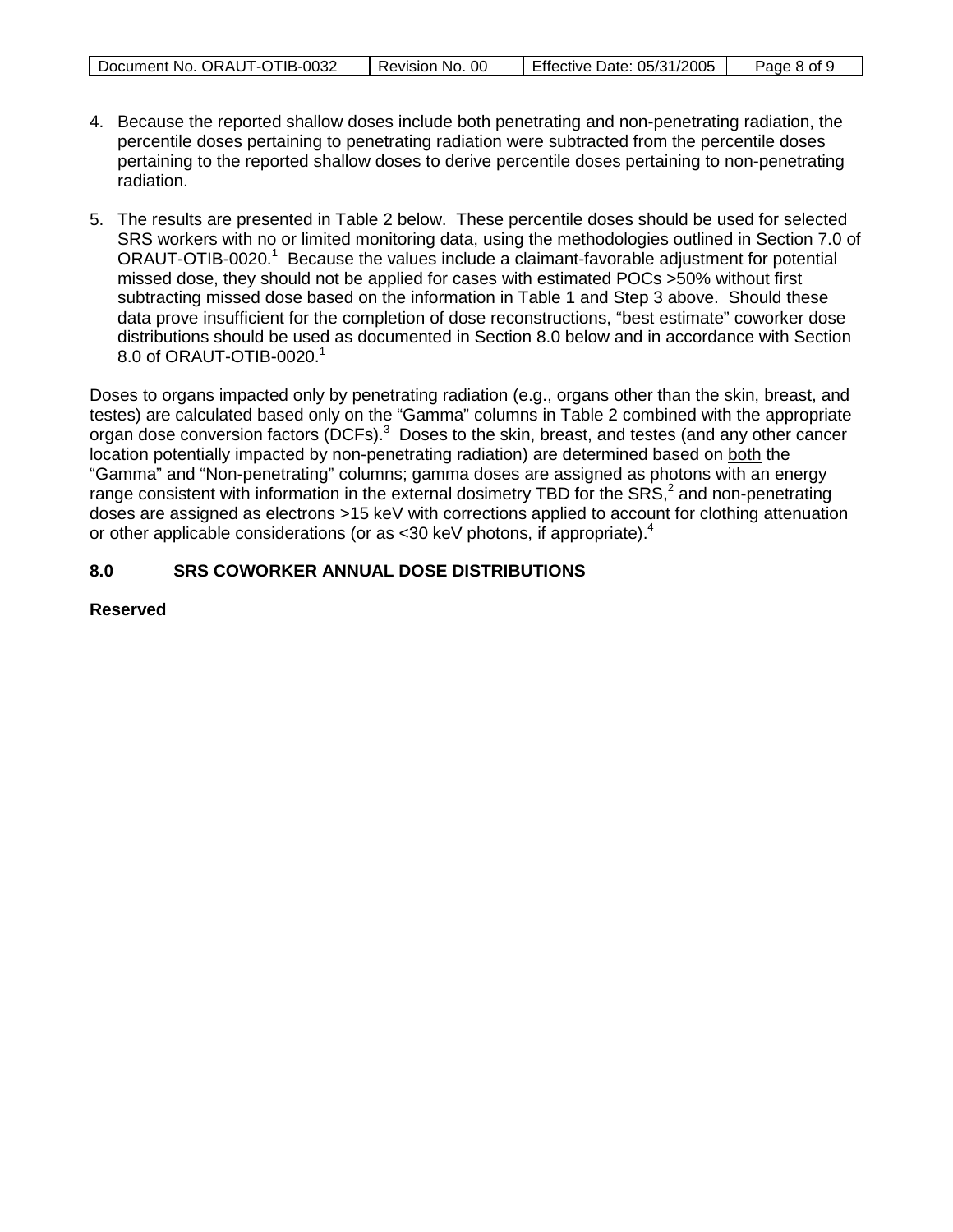| Document No. ORAUT-OTIB-0032 | Revision No. 00 | Effective Date: 05/31/2005 | Page 8 of 9 |
|------------------------------|-----------------|----------------------------|-------------|

- 4. Because the reported shallow doses include both penetrating and non-penetrating radiation, the percentile doses pertaining to penetrating radiation were subtracted from the percentile doses pertaining to the reported shallow doses to derive percentile doses pertaining to non-penetrating radiation.
- 5. The results are presented in Table 2 below. These percentile doses should be used for selected SRS workers with no or limited monitoring data, using the methodologies outlined in Section 7.0 of ORAUT-OTIB-0020.<sup>1</sup> Because the values include a claimant-favorable adjustment for potential missed dose, they should not be applied for cases with estimated POCs >50% without first subtracting missed dose based on the information in Table 1 and Step 3 above. Should these data prove insufficient for the completion of dose reconstructions, "best estimate" coworker dose distributions should be used as documented in Section 8.0 below and in accordance with Section 8.0 of ORAUT-OTIB-0020. $1$

Doses to organs impacted only by penetrating radiation (e.g., organs other than the skin, breast, and testes) are calculated based only on the "Gamma" columns in Table 2 combined with the appropriate organ dose conversion factors (DCFs).<sup>3</sup> Doses to the skin, breast, and testes (and any other cancer location potentially impacted by non-penetrating radiation) are determined based on both the "Gamma" and "Non-penetrating" columns; gamma doses are assigned as photons with an energy range consistent with information in the external dosimetry TBD for the SRS, $^2$  and non-penetrating doses are assigned as electrons >15 keV with corrections applied to account for clothing attenuation or other applicable considerations (or as <30 keV photons, if appropriate).<sup>4</sup>

## **8.0 SRS COWORKER ANNUAL DOSE DISTRIBUTIONS**

**Reserved**